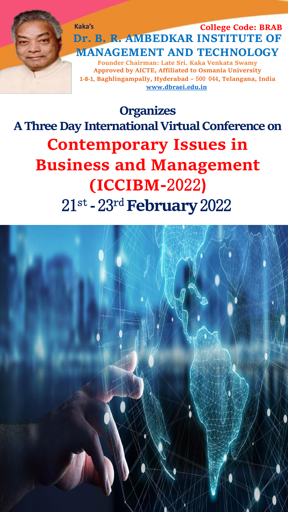**Kaka's Dr. B. R. AMBEDKAR INSTITUTE OF MANAGEMENT AND TECHNOLOGY Founder Chairman: Late Sri. Kaka Venkata Swamy College Code: BRAB**

**Approved by AICTE, Affiliated to Osmania University 1-8-1, Baghlingampally, Hyderabad –** 500 044**, Telangana, India [www.dbraei.edu.in](http://www.dbraei.edu.in/)**

**Organizes A Three Day International Virtual Conference on Contemporary Issues in Business and Management (ICCIBM-**2022**)** 21st **-**23rd**February**2022

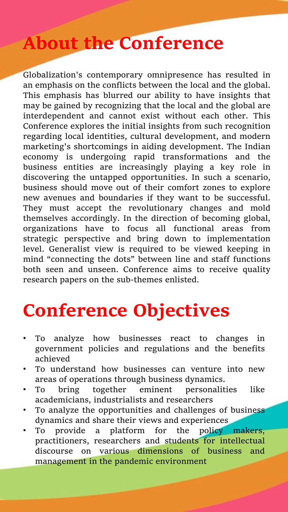# **About the Conference**

Globalization's contemporary omnipresence has resulted in an emphasis on the conflicts between the local and the global. This emphasis has blurred our ability to have insights that may be gained by recognizing that the local and the global are interdependent and cannot exist without each other. This Conference explores the initial insights from such recognition regarding local identities, cultural development, and modern marketing's shortcomings in aiding development. The Indian economy is undergoing rapid transformations and the business entities are increasingly playing a key role in discovering the untapped opportunities. In such a scenario, business should move out of their comfort zones to explore new avenues and boundaries if they want to be successful. They must accept the revolutionary changes and mold themselves accordingly. In the direction of becoming global, organizations have to focus all functional areas from strategic perspective and bring down to implementation level. Generalist view is required to be viewed keeping in mind "connecting the dots" between line and staff functions both seen and unseen. Conference aims to receive quality research papers on the sub-themes enlisted.

# **Conference Objectives**

- To analyze how businesses react to changes in government policies and regulations and the benefits achieved
- To understand how businesses can venture into new areas of operations through business dynamics.
- To bring together eminent personalities like academicians, industrialists and researchers
- To analyze the opportunities and challenges of business dynamics and share their views and experiences
- To provide a platform for the policy makers, practitioners, researchers and students for intellectual discourse on various dimensions of business and management in the pandemic environment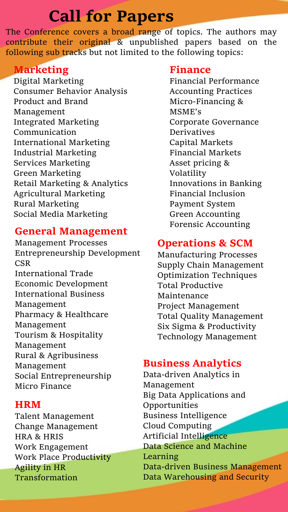# **Call for Papers**

The Conference covers a broad range of topics. The authors may contribute their original & unpublished papers based on the following sub tracks but not limited to the following topics:

### **Marketing**

Digital Marketing Consumer Behavior Analysis Product and Brand Management Integrated Marketing Communication International Marketing Industrial Marketing Services Marketing Green Marketing Retail Marketing & Analytics Agricultural Marketing Rural Marketing Social Media Marketing

### **General Management**

Management Processes Entrepreneurship Development CSR International Trade Economic Development International Business Management Pharmacy & Healthcare Management Tourism & Hospitality Management Rural & Agribusiness Management Social Entrepreneurship Micro Finance

### **HRM**

Talent Management Change Management HRA & HRIS Work Engagement Work Place Productivity Agility in HR Transformation

#### **Finance**

Financial Performance Accounting Practices Micro-Financing & MSME's Corporate Governance Derivatives Capital Markets Financial Markets Asset pricing & Volatility Innovations in Banking Financial Inclusion Payment System Green Accounting Forensic Accounting

## **Operations & SCM**

Manufacturing Processes Supply Chain Management Optimization Techniques Total Productive Maintenance Project Management Total Quality Management Six Sigma & Productivity Technology Management

### **Business Analytics**

Data-driven Analytics in Management Big Data Applications and Opportunities Business Intelligence Cloud Computing Artificial Intelligence Data Science and Machine Learning Data-driven Business Management Data Warehousing and Security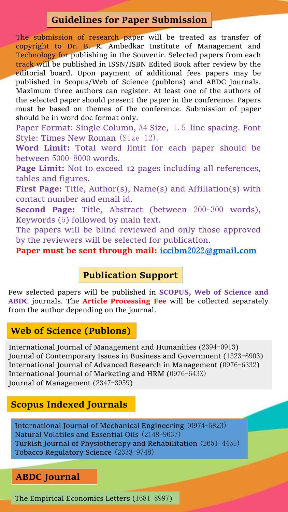## **Guidelines for Paper Submission**

The submission of research paper will be treated as transfer of copyright to Dr. B. R. Ambedkar Institute of Management and Technology for publishing in the Souvenir. Selected papers from each track will be published in ISSN/ISBN Edited Book after review by the editorial board. Upon payment of additional fees papers may be published in Scopus/Web of Science (publons) and ABDC Journals. Maximum three authors can register. At least one of the authors of the selected paper should present the paper in the conference. Papers must be based on themes of the conference. Submission of paper should be in word doc format only.

Paper Format: Single Column, A4 Size, 1.5 line spacing. Font Style: Times New Roman (Size 12).

**Word Limit:** Total word limit for each paper should be between 5000-8000 words.

**Page Limit:** Not to exceed 12 pages including all references, tables and figures.

**First Page:** Title, Author(s), Name(s) and Affiliation(s) with contact number and email id.

**Second Page:** Title, Abstract (between 200-300 words), Keywords (5) followed by main text.

The papers will be blind reviewed and only those approved by the reviewers will be selected for publication.

**Paper must be sent through mail: iccibm**2022**[@gmail.com](mailto:iccibm2022@gmail.com)**

#### **Publication Support**

Few selected papers will be published in **SCOPUS, Web of Science and ABDC** journals. The **Article Processing Fee** will be collected separately from the author depending on the journal.

#### **Web of Science (Publons)**

International Journal of Management and Humanities (2394-0913) Journal of Contemporary Issues in Business and Government (1323-6903) International Journal of Advanced Research in Management (0976-6332) International Journal of Marketing and HRM (0976-643X) Journal of Management (2347-3959)

#### **Scopus Indexed Journals**

International Journal of Mechanical Engineering (0974-5823) Natural Volatiles and Essential Oils (2148-9637) Turkish Journal of Physiotherapy and Rehabilitation (2651-4451) Tobacco Regulatory Science (2333-9748)

### **ABDC Journal**

The Empirical Economics Letters (1681-8997)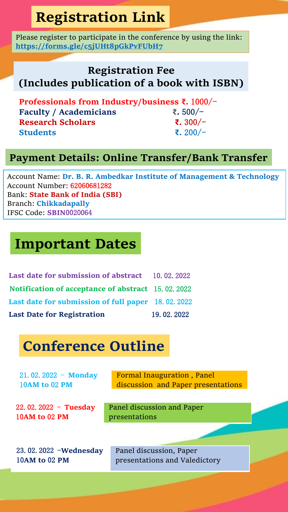# **Registration Link**

Please register to participate in the conference by using the link: **<https://forms.gle/c5jUHt8pGkPvFUbH7>**

## **Registration Fee (Includes publication of a book with ISBN)**

**Professionals from Industry/business ₹.** 1000/- **Faculty / Academicians ₹.** 500/- **Research Scholars ₹.** 300/- **Students ₹.** 200/-

## **Payment Details: Online Transfer/Bank Transfer**

Account Name: **Dr. B. R. Ambedkar Institute of Management & Technology** Account Number: 62060681282 Bank: **State Bank of India (SBI)** Branch: **Chikkadapally** IFSC Code: **SBIN**0020064

# **Important Dates**

| <b>Last date for submission of abstract</b> 10.02.2022     |              |
|------------------------------------------------------------|--------------|
| <b>Notification of acceptance of abstract</b> 15, 02, 2022 |              |
| Last date for submission of full paper 18, 02, 2022        |              |
| <b>Last Date for Registration</b>                          | 19, 02, 2022 |

# **Conference Outline**

| $21.02.2022 -$ Monday<br><b>10AM to 02 PM</b>  | Formal Inauguration, Panel<br>discussion and Paper presentations |  |
|------------------------------------------------|------------------------------------------------------------------|--|
| $22.02.2022 - Tuesday$<br><b>10AM to 02 PM</b> | Panel discussion and Paper<br>presentations                      |  |
|                                                |                                                                  |  |
| 23.02.2022 - Wednesday                         | Panel discussion, Paper                                          |  |
| <b>10AM to 02 PM</b>                           | presentations and Valedictory                                    |  |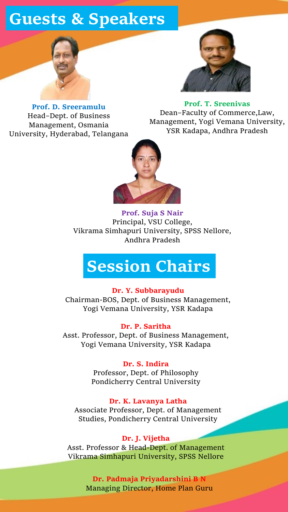# **Guests & Speakers**





**Prof. D. Sreeramulu** Head–Dept. of Business Management, Osmania University, Hyderabad, Telangana

**Prof. T. Sreenivas** Dean–Faculty of Commerce,Law, Management, Yogi Vemana University, YSR Kadapa, Andhra Pradesh



**Prof. Suja S Nair** Principal, VSU College, Vikrama Simhapuri University, SPSS Nellore, Andhra Pradesh

# **Session Chairs**

#### **Dr. Y. Subbarayudu**

Chairman-BOS, Dept. of Business Management, Yogi Vemana University, YSR Kadapa

**Dr. P. Saritha**

Asst. Professor, Dept. of Business Management, Yogi Vemana University, YSR Kadapa

#### **Dr. S. Indira**

Professor, Dept. of Philosophy Pondicherry Central University

#### **Dr. K. Lavanya Latha**

Associate Professor, Dept. of Management Studies, Pondicherry Central University

#### **Dr. J. Vijetha**

Asst. Professor & Head-Dept. of Management Vikrama Simhapuri University, SPSS Nellore

> **Dr. Padmaja Priyadarshini B N** Managing Director, Home Plan Guru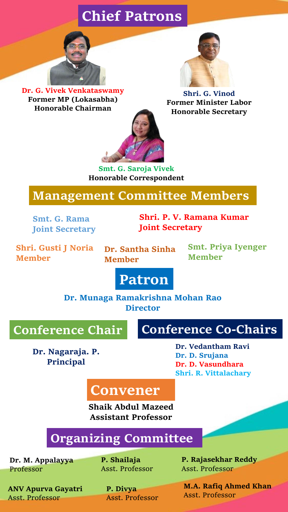# **Chief Patrons**



**Dr. G. Vivek Venkataswamy Former MP (Lokasabha) Honorable Chairman**



**Shri. G. Vinod Former Minister Labor Honorable Secretary**



**Smt. G. Saroja Vivek Honorable Correspondent**

## **Management Committee Members**

**Smt. G. Rama Joint Secretary** 

**Shri. P. V. Ramana Kumar Joint Secretary** 

**Shri. Gusti J Noria Member**

**Dr. Santha Sinha Member**

**Smt. Priya Iyenger Member**

# **Patron**

**Dr. Munaga Ramakrishna Mohan Rao Director**

## **Conference Chair**

## **Conference Co-Chairs**

**Dr. Nagaraja. P. Principal**

**Dr. Vedantham Ravi Dr. D. Srujana Dr. D. Vasundhara Shri. R. Vittalachary**

# **Convener**

**Shaik Abdul Mazeed Assistant Professor**

# **Organizing Committee**

**Dr. M. Appalayya** Professor

**P. Shailaja** Asst. Professor

**ANV Apurva Gayatri** Asst. Professor

**P. Divya** Asst. Professor **P. Rajasekhar Reddy** Asst. Professor

**M.A. Rafiq Ahmed Khan** Asst. Professor